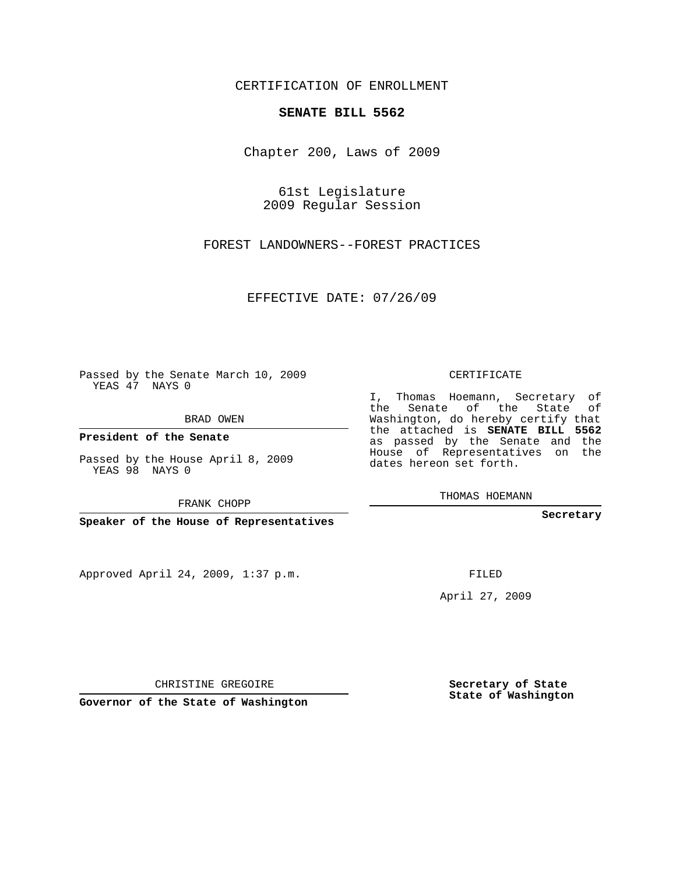## CERTIFICATION OF ENROLLMENT

## **SENATE BILL 5562**

Chapter 200, Laws of 2009

61st Legislature 2009 Regular Session

FOREST LANDOWNERS--FOREST PRACTICES

EFFECTIVE DATE: 07/26/09

Passed by the Senate March 10, 2009 YEAS 47 NAYS 0

BRAD OWEN

**President of the Senate**

YEAS 98 NAYS 0

Approved April 24, 2009, 1:37 p.m.

CERTIFICATE

I, Thomas Hoemann, Secretary of the Senate of the State of Washington, do hereby certify that the attached is **SENATE BILL 5562** as passed by the Senate and the House of Representatives on the dates hereon set forth.

THOMAS HOEMANN

**Secretary**

FILED

April 27, 2009

**Secretary of State State of Washington**

**Governor of the State of Washington**

CHRISTINE GREGOIRE

Passed by the House April 8, 2009

FRANK CHOPP

**Speaker of the House of Representatives**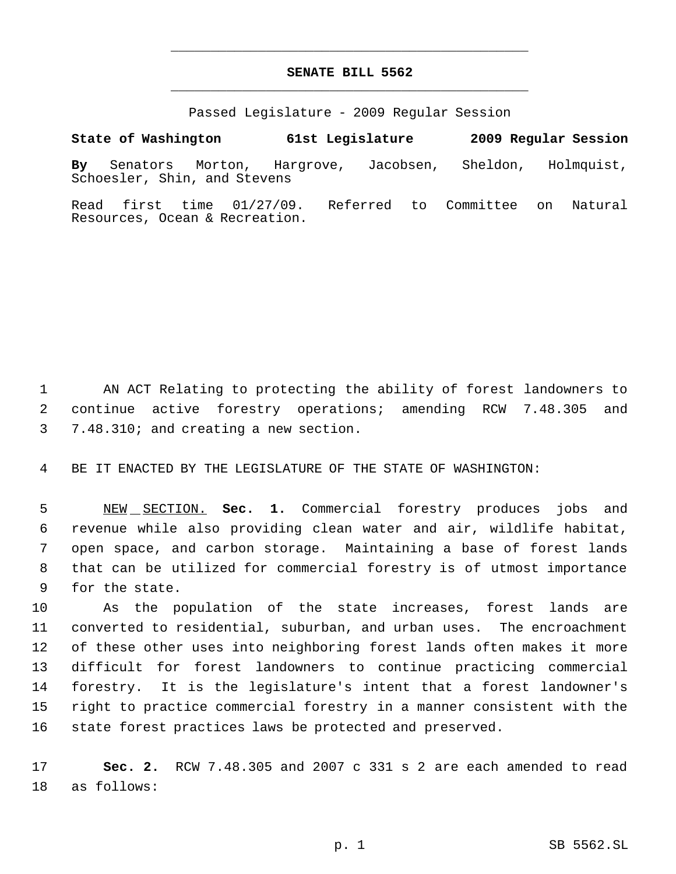## **SENATE BILL 5562** \_\_\_\_\_\_\_\_\_\_\_\_\_\_\_\_\_\_\_\_\_\_\_\_\_\_\_\_\_\_\_\_\_\_\_\_\_\_\_\_\_\_\_\_\_

\_\_\_\_\_\_\_\_\_\_\_\_\_\_\_\_\_\_\_\_\_\_\_\_\_\_\_\_\_\_\_\_\_\_\_\_\_\_\_\_\_\_\_\_\_

Passed Legislature - 2009 Regular Session

**By** Senators Morton, Hargrove, Jacobsen, Sheldon, Holmquist, Schoesler, Shin, and Stevens

**State of Washington 61st Legislature 2009 Regular Session**

Read first time 01/27/09. Referred to Committee on Natural Resources, Ocean & Recreation.

 AN ACT Relating to protecting the ability of forest landowners to continue active forestry operations; amending RCW 7.48.305 and 7.48.310; and creating a new section.

BE IT ENACTED BY THE LEGISLATURE OF THE STATE OF WASHINGTON:

 NEW SECTION. **Sec. 1.** Commercial forestry produces jobs and revenue while also providing clean water and air, wildlife habitat, open space, and carbon storage. Maintaining a base of forest lands that can be utilized for commercial forestry is of utmost importance for the state.

 As the population of the state increases, forest lands are converted to residential, suburban, and urban uses. The encroachment of these other uses into neighboring forest lands often makes it more difficult for forest landowners to continue practicing commercial forestry. It is the legislature's intent that a forest landowner's right to practice commercial forestry in a manner consistent with the state forest practices laws be protected and preserved.

 **Sec. 2.** RCW 7.48.305 and 2007 c 331 s 2 are each amended to read as follows: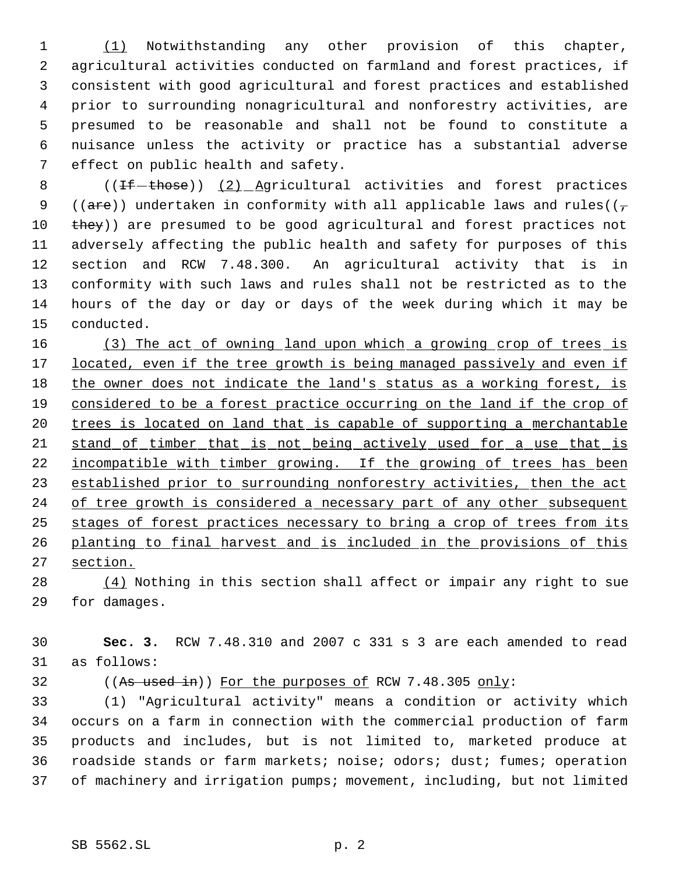(1) Notwithstanding any other provision of this chapter, agricultural activities conducted on farmland and forest practices, if consistent with good agricultural and forest practices and established prior to surrounding nonagricultural and nonforestry activities, are presumed to be reasonable and shall not be found to constitute a nuisance unless the activity or practice has a substantial adverse effect on public health and safety.

8 ((<del>If those</del>)) (2) Agricultural activities and forest practices 9 ((are)) undertaken in conformity with all applicable laws and rules( $(\tau$ 10 they)) are presumed to be good agricultural and forest practices not adversely affecting the public health and safety for purposes of this section and RCW 7.48.300. An agricultural activity that is in conformity with such laws and rules shall not be restricted as to the hours of the day or day or days of the week during which it may be conducted.

16 (3) The act of owning land upon which a growing crop of trees is 17 located, even if the tree growth is being managed passively and even if 18 the owner does not indicate the land's status as a working forest, is considered to be a forest practice occurring on the land if the crop of 20 trees is located on land that is capable of supporting a merchantable stand of timber that is not being actively used for a use that is 22 incompatible with timber growing. If the growing of trees has been 23 established prior to surrounding nonforestry activities, then the act 24 of tree growth is considered a necessary part of any other subsequent stages of forest practices necessary to bring a crop of trees from its planting to final harvest and is included in the provisions of this section.

 (4) Nothing in this section shall affect or impair any right to sue for damages.

 **Sec. 3.** RCW 7.48.310 and 2007 c 331 s 3 are each amended to read as follows:

32 ((As used in)) For the purposes of RCW 7.48.305 only:

 (1) "Agricultural activity" means a condition or activity which occurs on a farm in connection with the commercial production of farm products and includes, but is not limited to, marketed produce at roadside stands or farm markets; noise; odors; dust; fumes; operation of machinery and irrigation pumps; movement, including, but not limited